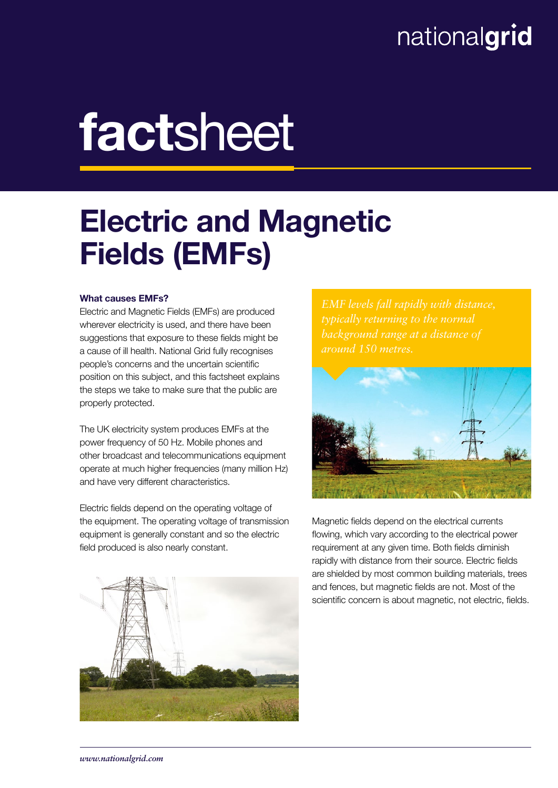### nationalgrid

# factsheet

## Electric and Magnetic Fields (EMFs)

#### What causes EMFs?

Electric and Magnetic Fields (EMFs) are produced wherever electricity is used, and there have been suggestions that exposure to these fields might be a cause of ill health. National Grid fully recognises people's concerns and the uncertain scientific position on this subject, and this factsheet explains the steps we take to make sure that the public are properly protected.

The UK electricity system produces EMFs at the power frequency of 50 Hz. Mobile phones and other broadcast and telecommunications equipment operate at much higher frequencies (many million Hz) and have very different characteristics.

Electric fields depend on the operating voltage of the equipment. The operating voltage of transmission equipment is generally constant and so the electric field produced is also nearly constant.

*EMF levels fall rapidly with distance, background range at a distance of around 150 metres.*



Magnetic fields depend on the electrical currents flowing, which vary according to the electrical power requirement at any given time. Both fields diminish rapidly with distance from their source. Electric fields are shielded by most common building materials, trees and fences, but magnetic fields are not. Most of the scientific concern is about magnetic, not electric, fields.